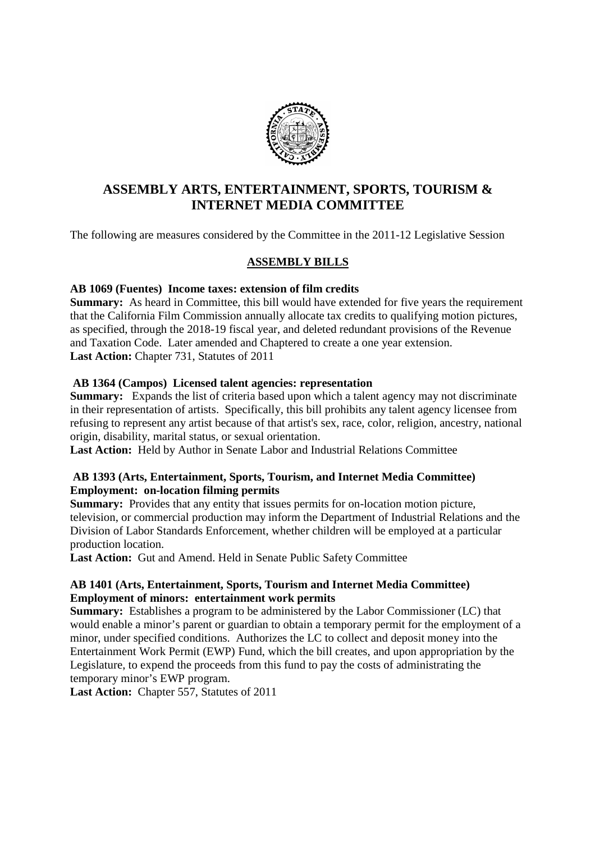

# **ASSEMBLY ARTS, ENTERTAINMENT, SPORTS, TOURISM & INTERNET MEDIA COMMITTEE**

The following are measures considered by the Committee in the 2011-12 Legislative Session

# **ASSEMBLY BILLS**

### **AB 1069 (Fuentes) Income taxes: extension of film credits**

**Summary:** As heard in Committee, this bill would have extended for five years the requirement that the California Film Commission annually allocate tax credits to qualifying motion pictures, as specified, through the 2018-19 fiscal year, and deleted redundant provisions of the Revenue and Taxation Code. Later amended and Chaptered to create a one year extension. **Last Action:** Chapter 731, Statutes of 2011

### **AB 1364 (Campos) Licensed talent agencies: representation**

**Summary:** Expands the list of criteria based upon which a talent agency may not discriminate in their representation of artists. Specifically, this bill prohibits any talent agency licensee from refusing to represent any artist because of that artist's sex, race, color, religion, ancestry, national origin, disability, marital status, or sexual orientation.

**Last Action:** Held by Author in Senate Labor and Industrial Relations Committee

### **AB 1393 (Arts, Entertainment, Sports, Tourism, and Internet Media Committee) Employment: on-location filming permits**

**Summary:** Provides that any entity that issues permits for on-location motion picture, television, or commercial production may inform the Department of Industrial Relations and the Division of Labor Standards Enforcement, whether children will be employed at a particular production location.

**Last Action:** Gut and Amend. Held in Senate Public Safety Committee

### **AB 1401 (Arts, Entertainment, Sports, Tourism and Internet Media Committee) Employment of minors: entertainment work permits**

**Summary:** Establishes a program to be administered by the Labor Commissioner (LC) that would enable a minor's parent or guardian to obtain a temporary permit for the employment of a minor, under specified conditions. Authorizes the LC to collect and deposit money into the Entertainment Work Permit (EWP) Fund, which the bill creates, and upon appropriation by the Legislature, to expend the proceeds from this fund to pay the costs of administrating the temporary minor's EWP program.

**Last Action:** Chapter 557, Statutes of 2011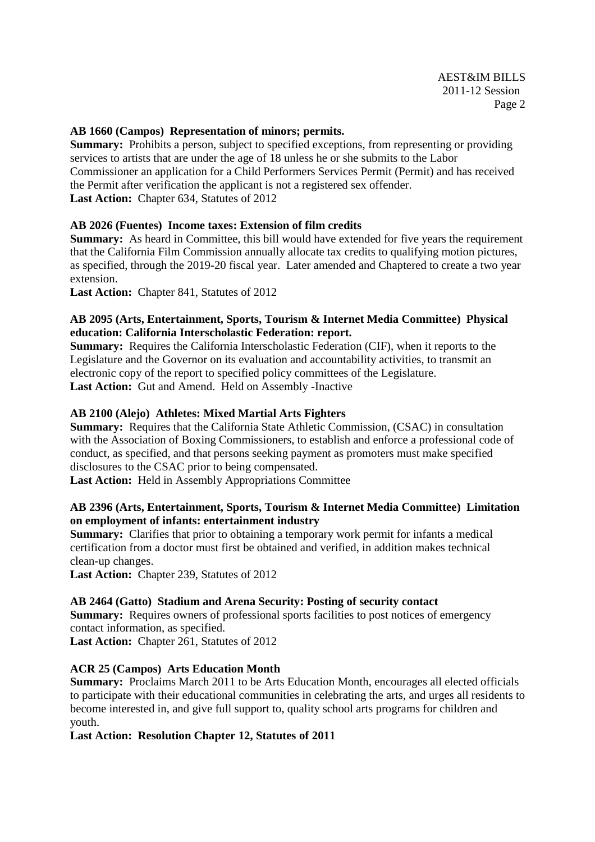### **AB 1660 (Campos) Representation of minors; permits.**

**Summary:** Prohibits a person, subject to specified exceptions, from representing or providing services to artists that are under the age of 18 unless he or she submits to the Labor Commissioner an application for a Child Performers Services Permit (Permit) and has received the Permit after verification the applicant is not a registered sex offender. **Last Action:** Chapter 634, Statutes of 2012

### **AB 2026 (Fuentes) Income taxes: Extension of film credits**

**Summary:** As heard in Committee, this bill would have extended for five years the requirement that the California Film Commission annually allocate tax credits to qualifying motion pictures, as specified, through the 2019-20 fiscal year. Later amended and Chaptered to create a two year extension.

**Last Action:** Chapter 841, Statutes of 2012

### **AB 2095 (Arts, Entertainment, Sports, Tourism & Internet Media Committee) Physical education: California Interscholastic Federation: report.**

**Summary:** Requires the California Interscholastic Federation (CIF), when it reports to the Legislature and the Governor on its evaluation and accountability activities, to transmit an electronic copy of the report to specified policy committees of the Legislature. Last Action: Gut and Amend. Held on Assembly -Inactive

### **AB 2100 (Alejo) Athletes: Mixed Martial Arts Fighters**

**Summary:** Requires that the California State Athletic Commission, (CSAC) in consultation with the Association of Boxing Commissioners, to establish and enforce a professional code of conduct, as specified, and that persons seeking payment as promoters must make specified disclosures to the CSAC prior to being compensated.

**Last Action:** Held in Assembly Appropriations Committee

### **AB 2396 (Arts, Entertainment, Sports, Tourism & Internet Media Committee) Limitation on employment of infants: entertainment industry**

**Summary:** Clarifies that prior to obtaining a temporary work permit for infants a medical certification from a doctor must first be obtained and verified, in addition makes technical clean-up changes.

**Last Action:** Chapter 239, Statutes of 2012

# **AB 2464 (Gatto) Stadium and Arena Security: Posting of security contact**

**Summary:** Requires owners of professional sports facilities to post notices of emergency contact information, as specified.

**Last Action:** Chapter 261, Statutes of 2012

### **ACR 25 (Campos) Arts Education Month**

**Summary:** Proclaims March 2011 to be Arts Education Month, encourages all elected officials to participate with their educational communities in celebrating the arts, and urges all residents to become interested in, and give full support to, quality school arts programs for children and youth.

### **Last Action: Resolution Chapter 12, Statutes of 2011**